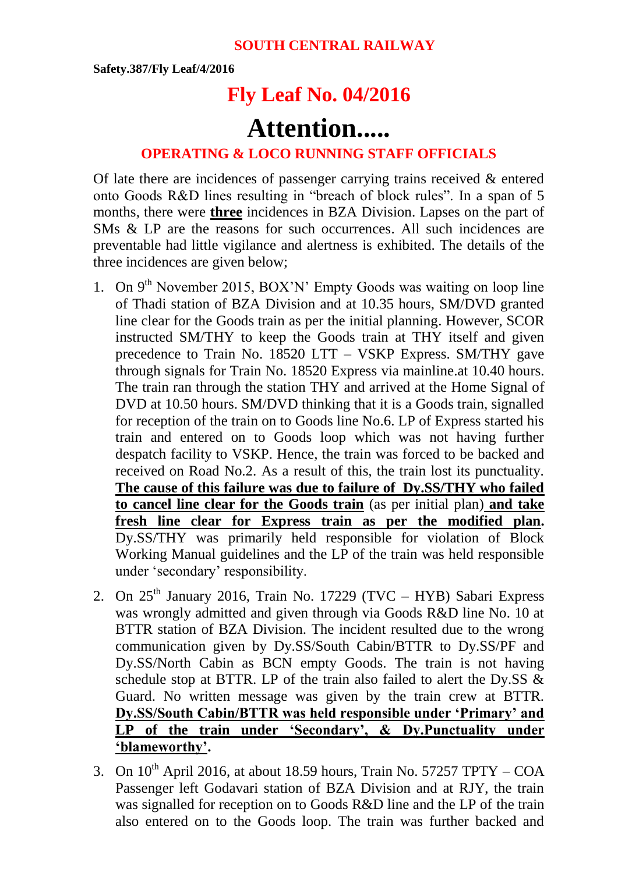**Safety.387/Fly Leaf/4/2016**

## **Fly Leaf No. 04/2016**

## **Attention.....**

## **OPERATING & LOCO RUNNING STAFF OFFICIALS**

Of late there are incidences of passenger carrying trains received & entered onto Goods R&D lines resulting in "breach of block rules". In a span of 5 months, there were **three** incidences in BZA Division. Lapses on the part of SMs & LP are the reasons for such occurrences. All such incidences are preventable had little vigilance and alertness is exhibited. The details of the three incidences are given below;

- 1. On  $9<sup>th</sup>$  November 2015, BOX'N' Empty Goods was waiting on loop line of Thadi station of BZA Division and at 10.35 hours, SM/DVD granted line clear for the Goods train as per the initial planning. However, SCOR instructed SM/THY to keep the Goods train at THY itself and given precedence to Train No. 18520 LTT – VSKP Express. SM/THY gave through signals for Train No. 18520 Express via mainline.at 10.40 hours. The train ran through the station THY and arrived at the Home Signal of DVD at 10.50 hours. SM/DVD thinking that it is a Goods train, signalled for reception of the train on to Goods line No.6. LP of Express started his train and entered on to Goods loop which was not having further despatch facility to VSKP. Hence, the train was forced to be backed and received on Road No.2. As a result of this, the train lost its punctuality. **The cause of this failure was due to failure of Dy.SS/THY who failed to cancel line clear for the Goods train** (as per initial plan) **and take fresh line clear for Express train as per the modified plan.** Dy.SS/THY was primarily held responsible for violation of Block Working Manual guidelines and the LP of the train was held responsible under 'secondary' responsibility.
- 2. On  $25<sup>th</sup>$  January 2016, Train No. 17229 (TVC HYB) Sabari Express was wrongly admitted and given through via Goods R&D line No. 10 at BTTR station of BZA Division. The incident resulted due to the wrong communication given by Dy.SS/South Cabin/BTTR to Dy.SS/PF and Dy.SS/North Cabin as BCN empty Goods. The train is not having schedule stop at BTTR. LP of the train also failed to alert the Dy.SS & Guard. No written message was given by the train crew at BTTR. **Dy.SS/South Cabin/BTTR was held responsible under 'Primary' and LP of the train under 'Secondary', & Dy.Punctuality under 'blameworthy'.**
- 3. On  $10^{th}$  April 2016, at about 18.59 hours, Train No. 57257 TPTY COA Passenger left Godavari station of BZA Division and at RJY, the train was signalled for reception on to Goods R&D line and the LP of the train also entered on to the Goods loop. The train was further backed and